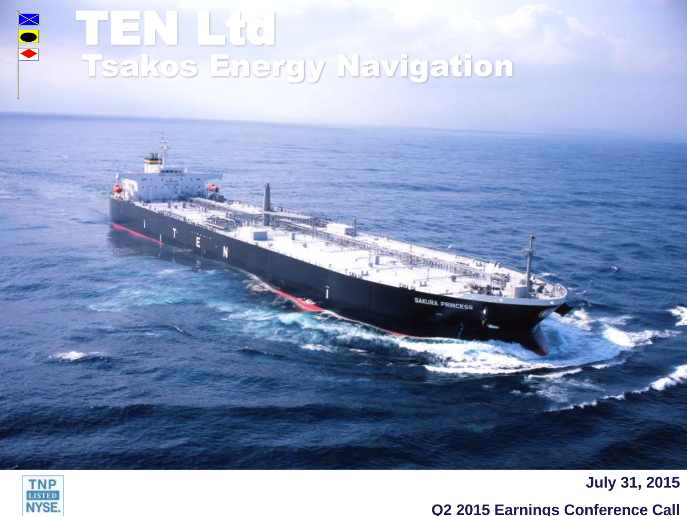## TEN LGJ NOV Tsakos Energy Navigation



**Q2 2015 Earnings Conference Call**

SAKURA PRINCESS

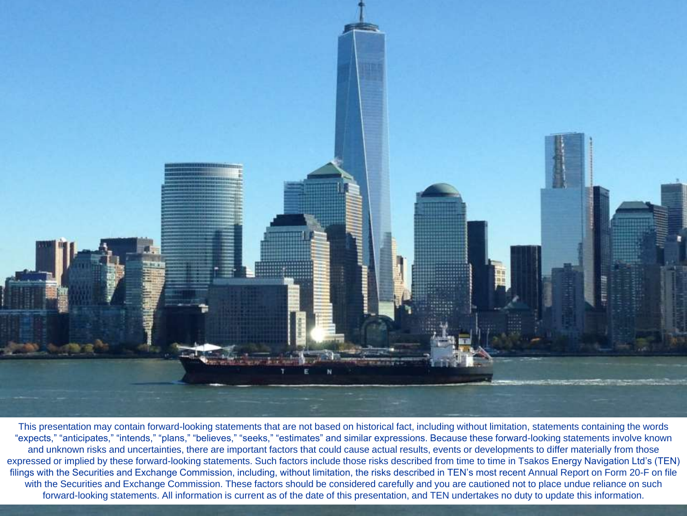

This presentation may contain forward-looking statements that are not based on historical fact, including without limitation, statements containing the words "expects," "anticipates," "intends," "plans," "believes," "seeks," "estimates" and similar expressions. Because these forward-looking statements involve known and unknown risks and uncertainties, there are important factors that could cause actual results, events or developments to differ materially from those expressed or implied by these forward-looking statements. Such factors include those risks described from time to time in Tsakos Energy Navigation Ltd's (TEN) filings with the Securities and Exchange Commission, including, without limitation, the risks described in TEN's most recent Annual Report on Form 20-F on file with the Securities and Exchange Commission. These factors should be considered carefully and you are cautioned not to place undue reliance on such forward-looking statements. All information is current as of the date of this presentation, and TEN undertakes no duty to update this information. **2**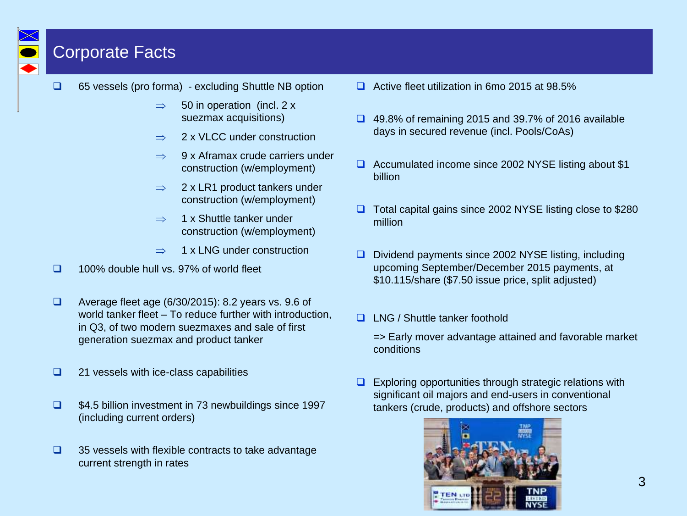## Corporate Facts

- 65 vessels (pro forma) excluding Shuttle NB option
	- $\Rightarrow$  50 in operation (incl. 2 x suezmax acquisitions)
	- $\Rightarrow$  2 x VLCC under construction
	- $\Rightarrow$  9 x Aframax crude carriers under construction (w/employment)
	- $\Rightarrow$  2 x LR1 product tankers under construction (w/employment)
	- $\Rightarrow$  1 x Shuttle tanker under construction (w/employment)
	- 1 x LNG under construction
- 100% double hull vs. 97% of world fleet
- Average fleet age (6/30/2015): 8.2 years vs. 9.6 of world tanker fleet – To reduce further with introduction, in Q3, of two modern suezmaxes and sale of first generation suezmax and product tanker
- $\Box$  21 vessels with ice-class capabilities
- □ \$4.5 billion investment in 73 newbuildings since 1997 (including current orders)
- $\Box$  35 vessels with flexible contracts to take advantage current strength in rates
- □ Active fleet utilization in 6mo 2015 at 98.5%
- 49.8% of remaining 2015 and 39.7% of 2016 available days in secured revenue (incl. Pools/CoAs)
- □ Accumulated income since 2002 NYSE listing about \$1 billion
- □ Total capital gains since 2002 NYSE listing close to \$280 million
- Dividend payments since 2002 NYSE listing, including upcoming September/December 2015 payments, at \$10.115/share (\$7.50 issue price, split adjusted)
- □ LNG / Shuttle tanker foothold
	- => Early mover advantage attained and favorable market conditions
- $\Box$  Exploring opportunities through strategic relations with significant oil majors and end-users in conventional tankers (crude, products) and offshore sectors

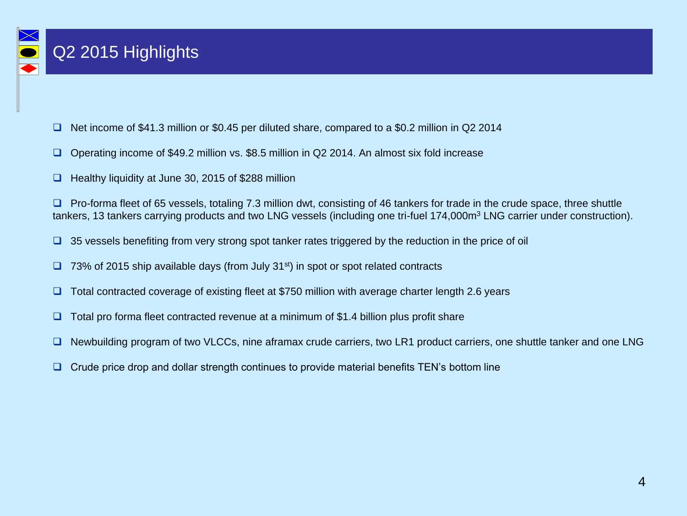

- □ Net income of \$41.3 million or \$0.45 per diluted share, compared to a \$0.2 million in Q2 2014
- Operating income of \$49.2 million vs. \$8.5 million in Q2 2014. An almost six fold increase
- Healthy liquidity at June 30, 2015 of \$288 million

**Pro-forma fleet of 65 vessels, totaling 7.3 million dwt, consisting of 46 tankers for trade in the crude space, three shuttle** tankers, 13 tankers carrying products and two LNG vessels (including one tri-fuel 174,000m<sup>3</sup> LNG carrier under construction).

- $\Box$  35 vessels benefiting from very strong spot tanker rates triggered by the reduction in the price of oil
- 73% of 2015 ship available days (from July 31<sup>st</sup>) in spot or spot related contracts
- □ Total contracted coverage of existing fleet at \$750 million with average charter length 2.6 years
- $\Box$  Total pro forma fleet contracted revenue at a minimum of \$1.4 billion plus profit share
- □ Newbuilding program of two VLCCs, nine aframax crude carriers, two LR1 product carriers, one shuttle tanker and one LNG
- $\Box$  Crude price drop and dollar strength continues to provide material benefits TEN's bottom line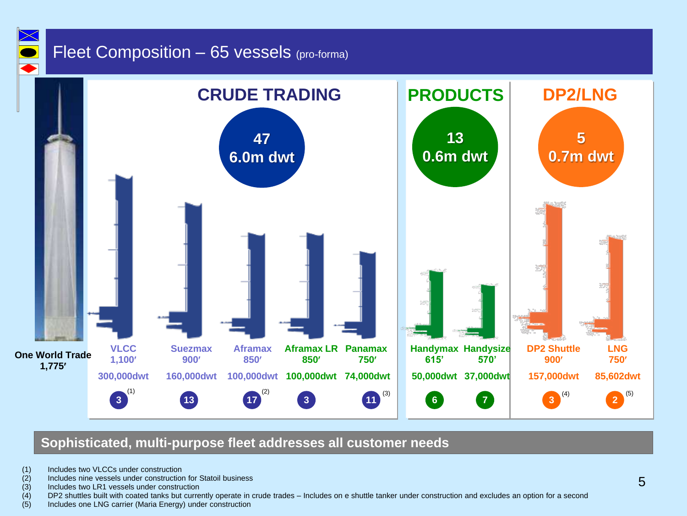## Fleet Composition – 65 vessels (pro-forma)



### **Sophisticated, multi-purpose fleet addresses all customer needs**

- (1) Includes two VLCCs under construction<br>(2) Includes nine vessels under construction
- 
- Includes two LR1 vessels under construction
- (2) Includes nine vessels under construction for Statoil business<br>  $(3)$  Includes two LR1 vessels under construction<br>  $(4)$  DP2 shuttles built with coated tanks but currently operate in o (4) DP2 shuttles built with coated tanks but currently operate in crude trades – Includes on e shuttle tanker under construction and excludes an option for a second<br>(5) Includes one LNG carrier (Maria Energy) under constru
- Includes one LNG carrier (Maria Energy) under construction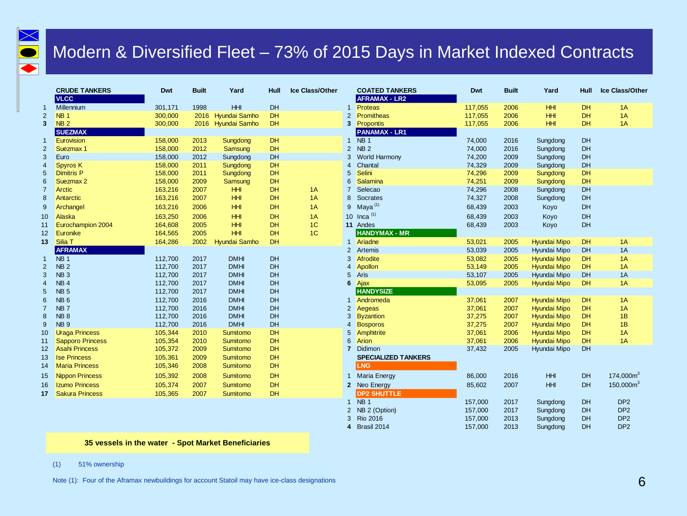

## Modern & Diversified Fleet – 73% of 2015 Days in Market Indexed Contracts

|                | <b>CRUDE TANKERS</b><br><b>VLCC</b> | <b>Dwt</b> | <b>Built</b> | Yard               | Hull      | Ice Class/Other |                | <b>COATED TANKERS</b><br><b>AFRAMAX - LR2</b> | Dwt     | <b>Built</b> | Yard                | Hull      | Ice Class/Other |
|----------------|-------------------------------------|------------|--------------|--------------------|-----------|-----------------|----------------|-----------------------------------------------|---------|--------------|---------------------|-----------|-----------------|
| $\overline{1}$ | Millennium                          | 301,171    | 1998         | HHI                | DH        |                 | $\blacksquare$ | Proteas                                       | 117,055 | 2006         | HHI                 | <b>DH</b> | 1A              |
| $\overline{2}$ | NB <sub>1</sub>                     | 300,000    |              | 2016 Hyundai Samho | DH        |                 | $\overline{2}$ | Promitheas                                    | 117,055 | 2006         | HHI                 | <b>DH</b> | 1A              |
| 3 <sup>1</sup> | NB <sub>2</sub>                     | 300,000    |              | 2016 Hyundai Samho | DH        |                 | 3              | Propontis                                     | 117,055 | 2006         | HHI                 | <b>DH</b> | 1A              |
|                | <b>SUEZMAX</b>                      |            |              |                    |           |                 |                | <b>PANAMAX - LR1</b>                          |         |              |                     |           |                 |
| $\mathbf{1}$   | Eurovision                          | 158,000    | 2013         | Sungdong           | <b>DH</b> |                 | $\blacksquare$ | NB <sub>1</sub>                               | 74,000  | 2016         | Sungdong            | DH        |                 |
| $\overline{2}$ | Suezmax 1                           | 158,000    | 2012         | Samsung            | DH        |                 |                | 2 NB 2                                        | 74,000  | 2016         | Sungdong            | DH        |                 |
| 3              | Euro                                | 158,000    | 2012         | Sungdong           | DH        |                 | 3              | <b>World Harmony</b>                          | 74,200  | 2009         | Sungdong            | DH        |                 |
| $\overline{4}$ | <b>Spyros K</b>                     | 158,000    | 2011         | Sungdong           | DH        |                 | 4              | Chantal                                       | 74,329  | 2009         | Sungdong            | <b>DH</b> |                 |
| 5              | <b>Dimitris P</b>                   | 158,000    | 2011         | Sungdong           | DH        |                 | 5              | Selini                                        | 74,296  | 2009         | Sungdong            | DH        |                 |
| 6              | Suezmax 2                           | 158,000    | 2009         | Samsung            | <b>DH</b> |                 | 6              | Salamina                                      | 74,251  | 2009         | Sungdong            | <b>DH</b> |                 |
| $\overline{7}$ | Arctic                              | 163,216    | 2007         | HHI                | <b>DH</b> | 1A              |                | Selecao                                       | 74,296  | 2008         | Sungdong            | <b>DH</b> |                 |
| 8              | Antarctic                           | 163,216    | 2007         | HHI                | DH        | 1A              | 8              | Socrates                                      | 74,327  | 2008         | Sungdong            | DH        |                 |
| 9              | Archangel                           | 163,216    | 2006         | HHI                | DH        | 1A              | 9              | Maya $(1)$                                    | 68,439  | 2003         | Koyo                | DH        |                 |
|                |                                     |            |              | HHI                |           |                 |                |                                               |         |              |                     |           |                 |
| 10             | Alaska                              | 163,250    | 2006         |                    | DH        | 1A              |                | 10 $Inca$ <sup>(1)</sup>                      | 68,439  | 2003         | Koyo                | DH        |                 |
| 11             | Eurochampion 2004                   | 164,608    | 2005         | HHI                | DH        | 1 <sup>C</sup>  |                | 11 Andes                                      | 68,439  | 2003         | Koyo                | DH        |                 |
| 12             | Euronike                            | 164,565    | 2005         | HHI                | DH        | 1 <sup>C</sup>  |                | <b>HANDYMAX - MR</b>                          |         |              |                     |           |                 |
| 13             | Silia T                             | 164,286    | 2002         | Hyundai Samho      | <b>DH</b> |                 |                | 1 Ariadne                                     | 53,021  | 2005         | <b>Hyundai Mipo</b> | <b>DH</b> | 1A              |
|                | <b>AFRAMAX</b>                      |            |              |                    |           |                 | $\overline{2}$ | Artemis                                       | 53,039  | 2005         | Hyundai Mipo        | <b>DH</b> | 1A              |
| $\mathbf{1}$   | NB <sub>1</sub>                     | 112,700    | 2017         | <b>DMHI</b>        | <b>DH</b> |                 | 3              | Afrodite                                      | 53,082  | 2005         | <b>Hyundai Mipo</b> | <b>DH</b> | 1A              |
| $\overline{2}$ | NB <sub>2</sub>                     | 112,700    | 2017         | <b>DMHI</b>        | DH        |                 | $\overline{4}$ | Apollon                                       | 53,149  | 2005         | <b>Hyundai Mipo</b> | <b>DH</b> | 1A              |
| 3              | NB <sub>3</sub>                     | 112,700    | 2017         | <b>DMHI</b>        | DH        |                 | 5              | Aris                                          | 53,107  | 2005         | Hyundai Mipo        | DH        | 1A              |
| $\overline{4}$ | NB <sub>4</sub>                     | 112,700    | 2017         | <b>DMHI</b>        | <b>DH</b> |                 | 6              | Ajax                                          | 53,095  | 2005         | <b>Hyundai Mipo</b> | <b>DH</b> | 1A              |
| 5              | NB <sub>5</sub>                     | 112,700    | 2017         | <b>DMHI</b>        | <b>DH</b> |                 |                | <b>HANDYSIZE</b>                              |         |              |                     |           |                 |
| 6              | NB <sub>6</sub>                     | 112,700    | 2016         | <b>DMHI</b>        | DH        |                 | $\overline{1}$ | Andromeda                                     | 37,061  | 2007         | Hyundai Mipo        | <b>DH</b> | 1A              |
| $\overline{7}$ | NB <sub>7</sub>                     | 112,700    | 2016         | <b>DMHI</b>        | DH        |                 | $\overline{2}$ | Aegeas                                        | 37,061  | 2007         | <b>Hyundai Mipo</b> | <b>DH</b> | 1A              |
| 8              | NB <sub>8</sub>                     | 112,700    | 2016         | <b>DMHI</b>        | DH        |                 | 3              | <b>Byzantion</b>                              | 37,275  | 2007         | Hyundai Mipo        | <b>DH</b> | 1B              |
| 9              | NB <sub>9</sub>                     | 112,700    | 2016         | <b>DMHI</b>        | <b>DH</b> |                 | 4              | <b>Bosporos</b>                               | 37,275  | 2007         | <b>Hyundai Mipo</b> | <b>DH</b> | 1B              |
| 10             | <b>Uraga Princess</b>               | 105,344    | 2010         | Sumitomo           | <b>DH</b> |                 | 5              | Amphitrite                                    | 37,061  | 2006         | Hyundai Mipo        | DH        | 1A              |
| 11             | <b>Sapporo Princess</b>             | 105,354    | 2010         | Sumitomo           | DH        |                 | 6              | Arion                                         | 37,061  | 2006         | <b>Hyundai Mipo</b> | <b>DH</b> | 1A              |
| 12             | <b>Asahi Princess</b>               | 105,372    | 2009         | Sumitomo           | DH        |                 |                | 7 Didimon                                     | 37,432  | 2005         | Hyundai Mipo        | <b>DH</b> |                 |
| 13             | <b>Ise Princess</b>                 | 105,361    | 2009         | Sumitomo           | DH        |                 |                | <b>SPECIALIZED TANKERS</b>                    |         |              |                     |           |                 |
| 14             | <b>Maria Princess</b>               | 105,346    | 2008         | Sumitomo           | DH        |                 |                | <b>LNG</b>                                    |         |              |                     |           |                 |
| 15             | <b>Nippon Princess</b>              | 105,392    | 2008         | Sumitomo           | <b>DH</b> |                 |                | 1 Maria Energy                                | 86,000  | 2016         | HHI                 | <b>DH</b> | $174,000m^3$    |
| 16             | <b>Izumo Princess</b>               | 105,374    | 2007         | Sumitomo           | DH        |                 |                | 2 Neo Energy                                  | 85,602  | 2007         | HHI                 | DH        | $150,000m^3$    |
| 17             | <b>Sakura Princess</b>              | 105,365    | 2007         | Sumitomo           | DH        |                 |                | <b>DP2 SHUTTLE</b>                            |         |              |                     |           |                 |
|                |                                     |            |              |                    |           |                 | $\overline{1}$ | NB <sub>1</sub>                               | 157,000 | 2017         | Sungdong            | DH        | DP <sub>2</sub> |
|                |                                     |            |              |                    |           |                 | 2              | NB 2 (Option)                                 | 157,000 | 2017         | Sungdong            | <b>DH</b> | DP <sub>2</sub> |
|                |                                     |            |              |                    |           |                 | 3              | <b>Rio 2016</b>                               | 157,000 | 2013         | Sungdong            | <b>DH</b> | DP <sub>2</sub> |
|                |                                     |            |              |                    |           |                 | 4              | Brasil 2014                                   | 157.000 | 2013         | Sunadona            | DH        | DP <sub>2</sub> |

#### **35 vessels in the water - Spot Market Beneficiaries**

#### (1) 51% ownership

Note (1): Four of the Aframax newbuildings for account Statoil may have ice-class designations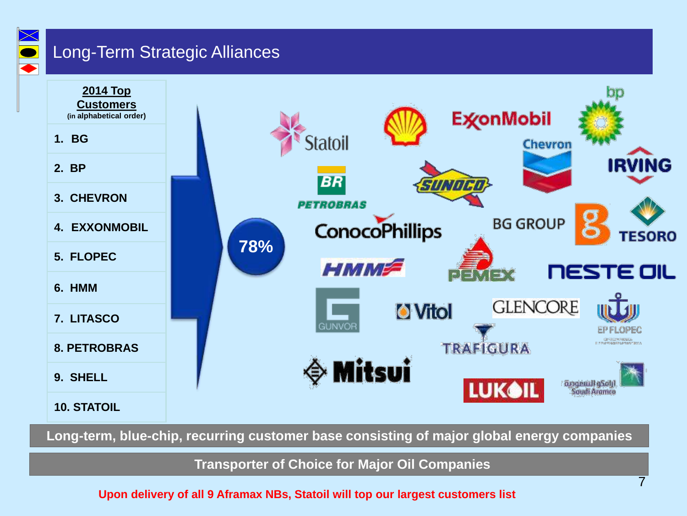## Long-Term Strategic Alliances



**Transporter of Choice for Major Oil Companies**

**Upon delivery of all 9 Aframax NBs, Statoil will top our largest customers list**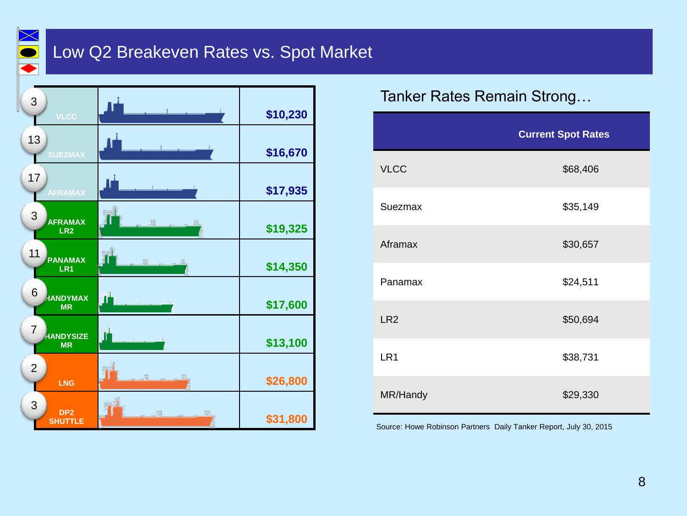## Low Q2 Breakeven Rates vs. Spot Market



## Tanker Rates Remain Strong…

|                 | <b>Current Spot Rates</b> |
|-----------------|---------------------------|
| <b>VLCC</b>     | \$68,406                  |
| <b>Suezmax</b>  | \$35,149                  |
| Aframax         | \$30,657                  |
| Panamax         | \$24,511                  |
| LR <sub>2</sub> | \$50,694                  |
| LR <sub>1</sub> | \$38,731                  |
| MR/Handy        | \$29,330                  |

Source: Howe Robinson Partners Daily Tanker Report, July 30, 2015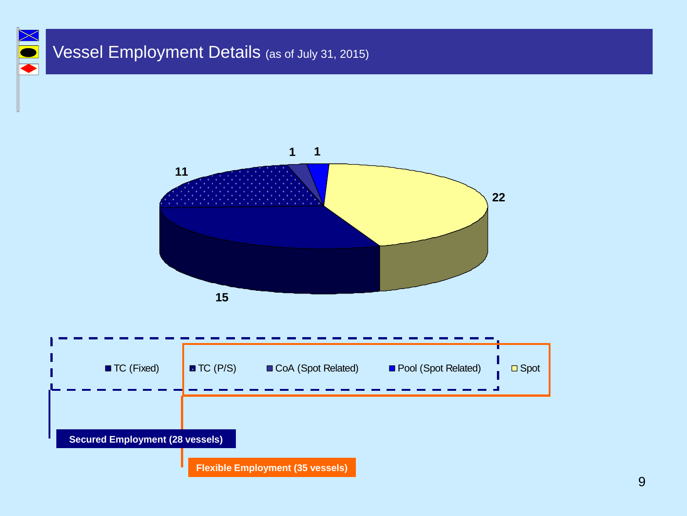## Vessel Employment Details (as of July 31, 2015)



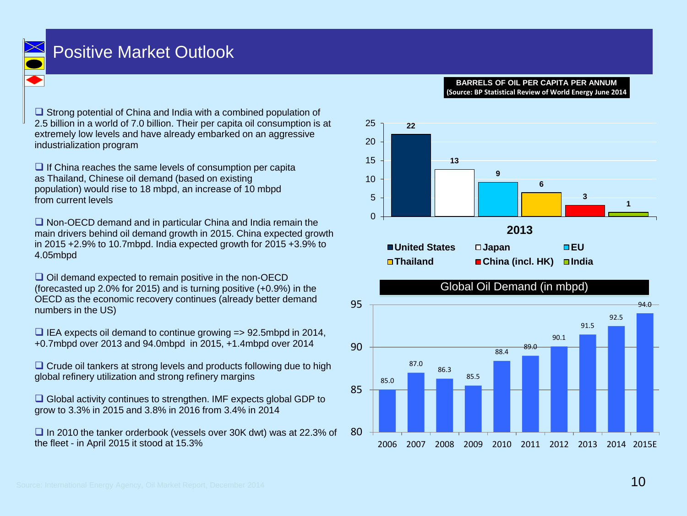

## Positive Market Outlook

 $\Box$  Strong potential of China and India with a combined population of 2.5 billion in a world of 7.0 billion. Their per capita oil consumption is at extremely low levels and have already embarked on an aggressive industrialization program

 $\Box$  If China reaches the same levels of consumption per capita as Thailand, Chinese oil demand (based on existing population) would rise to 18 mbpd, an increase of 10 mbpd from current levels

 $\Box$  Non-OECD demand and in particular China and India remain the main drivers behind oil demand growth in 2015. China expected growth in 2015 +2.9% to 10.7mbpd. India expected growth for 2015 +3.9% to 4.05mbpd

 $\Box$  Oil demand expected to remain positive in the non-OECD (forecasted up 2.0% for 2015) and is turning positive (+0.9%) in the OECD as the economic recovery continues (already better demand numbers in the US)

 $\Box$  IEA expects oil demand to continue growing  $\Rightarrow$  92.5mbpd in 2014, +0.7mbpd over 2013 and 94.0mbpd in 2015, +1.4mbpd over 2014

 $\Box$  Crude oil tankers at strong levels and products following due to high global refinery utilization and strong refinery margins

 $\Box$  Global activity continues to strengthen. IMF expects global GDP to grow to 3.3% in 2015 and 3.8% in 2016 from 3.4% in 2014

 $\Box$  In 2010 the tanker orderbook (vessels over 30K dwt) was at 22.3% of the fleet - in April 2015 it stood at 15.3%

#### **BARRELS OF OIL PER CAPITA PER ANNUM (Source: BP Statistical Review of World Energy June 2014**



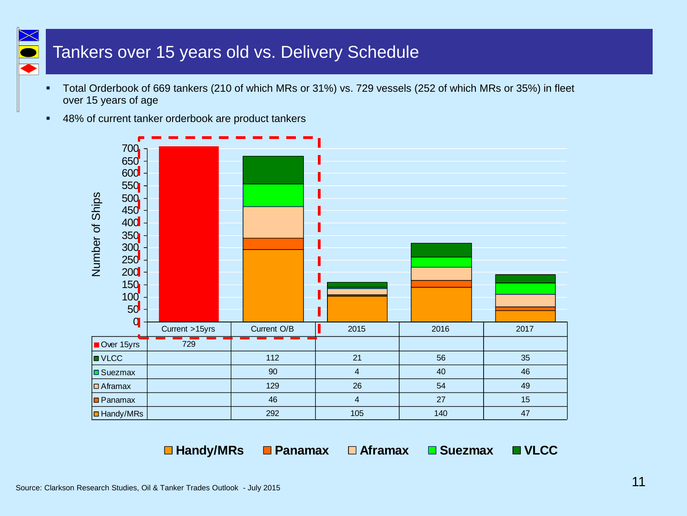## Tankers over 15 years old vs. Delivery Schedule

 Total Orderbook of 669 tankers (210 of which MRs or 31%) vs. 729 vessels (252 of which MRs or 35%) in fleet over 15 years of age





■ Handy/MRs ■ Panamax ■ Aframax ■ Suezmax ■ VLCC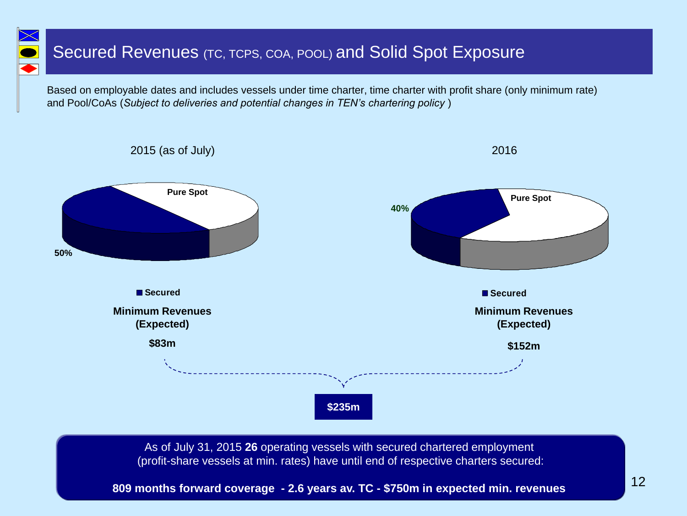## Secured Revenues (TC, TCPS, COA, POOL) and Solid Spot Exposure

Based on employable dates and includes vessels under time charter, time charter with profit share (only minimum rate) and Pool/CoAs (*Subject to deliveries and potential changes in TEN's chartering policy* )



(profit-share vessels at min. rates) have until end of respective charters secured:

**809 months forward coverage - 2.6 years av. TC - \$750m in expected min. revenues**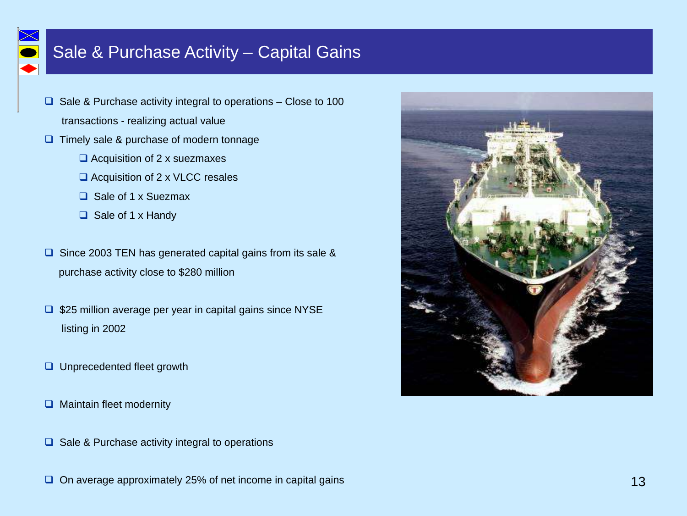## Sale & Purchase Activity – Capital Gains

- $\Box$  Sale & Purchase activity integral to operations Close to 100 transactions - realizing actual value
- $\Box$  Timely sale & purchase of modern tonnage
	- $\Box$  Acquisition of 2 x suezmaxes
	- $\Box$  Acquisition of 2 x VLCC resales
	- $\Box$  Sale of 1 x Suezmax
	- $\Box$  Sale of 1 x Handy
- $\Box$  Since 2003 TEN has generated capital gains from its sale & purchase activity close to \$280 million
- $\square$  \$25 million average per year in capital gains since NYSE listing in 2002
- □ Unprecedented fleet growth
- $\Box$  Maintain fleet modernity
- $\Box$  Sale & Purchase activity integral to operations
- □ On average approximately 25% of net income in capital gains

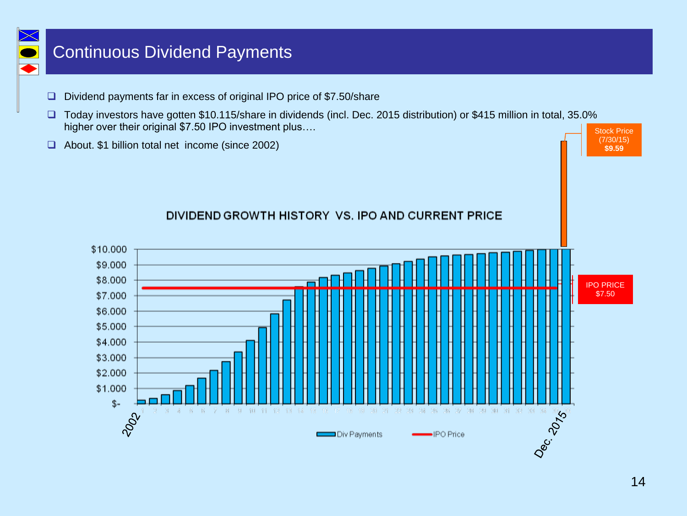

## Continuous Dividend Payments

- □ Dividend payments far in excess of original IPO price of \$7.50/share
- □ Today investors have gotten \$10.115/share in dividends (incl. Dec. 2015 distribution) or \$415 million in total, 35.0% higher over their original \$7.50 IPO investment plus.... Stock Price
- About. \$1 billion total net income (since 2002)

#### DIVIDEND GROWTH HISTORY VS. IPO AND CURRENT PRICE



(7/30/15) **\$9.59**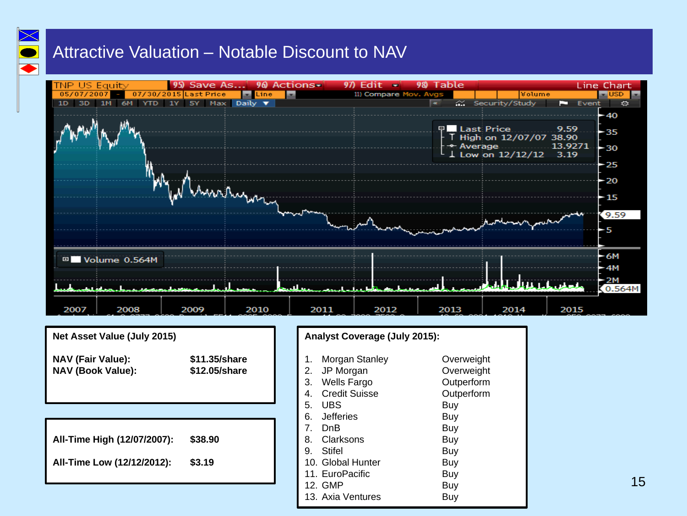## Attractive Valuation – Notable Discount to NAV



#### **Net Asset Value (July 2015)**

**NAV (Fair Value): \$11.35/share NAV (Book Value): \$12.05/share**

| All-Time High (12/07/2007): | \$38.90 |
|-----------------------------|---------|
| All-Time Low (12/12/2012):  | \$3.19  |

#### **Analyst Coverage (July 2015):**

- 1. Morgan Stanley **Contract Contract Contract Overweight** 2. JP Morgan Overweight 3. Wells Fargo Outperform
- 
- 4. Credit Suisse Outperform
- 5. UBS Buy
- 6. Jefferies Buy
- 7. DnB Buy
	- 8. Clarksons Buy
- 9. Stifel Buy
- 10. Global Hunter Buy
- 11. EuroPacific Buy
- 12. GMP Buy
- 13. Axia Ventures Buy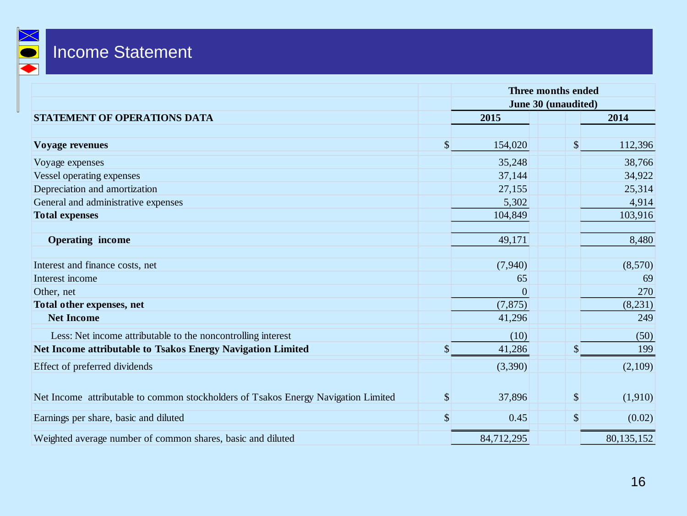

|                                                                                    |                           | Three months ended<br>June 30 (unaudited) |                             |            |
|------------------------------------------------------------------------------------|---------------------------|-------------------------------------------|-----------------------------|------------|
|                                                                                    |                           |                                           |                             |            |
| STATEMENT OF OPERATIONS DATA                                                       |                           | 2015                                      |                             | 2014       |
|                                                                                    |                           |                                           |                             |            |
| <b>Voyage revenues</b>                                                             | $\boldsymbol{\mathsf{S}}$ | 154,020                                   | $\left  \mathbf{S} \right $ | 112,396    |
| Voyage expenses                                                                    |                           | 35,248                                    |                             | 38,766     |
| Vessel operating expenses                                                          |                           | 37,144                                    |                             | 34,922     |
| Depreciation and amortization                                                      |                           | 27,155                                    |                             | 25,314     |
| General and administrative expenses                                                |                           | 5,302                                     |                             | 4,914      |
| <b>Total expenses</b>                                                              |                           | 104,849                                   |                             | 103,916    |
|                                                                                    |                           |                                           |                             |            |
| <b>Operating income</b>                                                            |                           | 49,171                                    |                             | 8,480      |
|                                                                                    |                           |                                           |                             |            |
| Interest and finance costs, net                                                    |                           | (7, 940)                                  |                             | (8,570)    |
| Interest income                                                                    |                           | 65                                        |                             | 69         |
| Other, net                                                                         |                           | $\Omega$                                  |                             | 270        |
| Total other expenses, net                                                          |                           | (7, 875)                                  |                             | (8,231)    |
| <b>Net Income</b>                                                                  |                           | 41,296                                    |                             | 249        |
| Less: Net income attributable to the noncontrolling interest                       |                           | (10)                                      |                             | (50)       |
| Net Income attributable to Tsakos Energy Navigation Limited                        | \$                        | 41,286                                    | \$                          | 199        |
| Effect of preferred dividends                                                      |                           | (3,390)                                   |                             | (2,109)    |
|                                                                                    |                           |                                           |                             |            |
| Net Income attributable to common stockholders of Tsakos Energy Navigation Limited | \$                        | 37,896                                    | $\boldsymbol{\mathsf{S}}$   | (1,910)    |
| Earnings per share, basic and diluted                                              | \$                        | 0.45                                      | $\boldsymbol{\mathsf{S}}$   | (0.02)     |
| Weighted average number of common shares, basic and diluted                        |                           | 84,712,295                                |                             | 80,135,152 |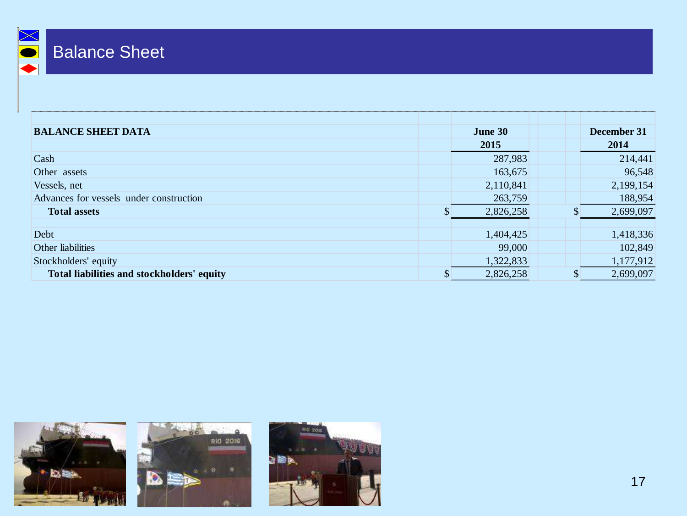

| <b>BALANCE SHEET DATA</b>                  | June 30 |           |  | December 31 |
|--------------------------------------------|---------|-----------|--|-------------|
|                                            |         | 2015      |  | 2014        |
| Cash                                       |         | 287,983   |  | 214,441     |
| Other assets                               |         | 163,675   |  | 96,548      |
| Vessels, net                               |         | 2,110,841 |  | 2,199,154   |
| Advances for vessels under construction    |         | 263,759   |  | 188,954     |
| <b>Total assets</b>                        |         | 2,826,258 |  | 2,699,097   |
|                                            |         |           |  |             |
| Debt                                       |         | 1,404,425 |  | 1,418,336   |
| Other liabilities                          |         | 99,000    |  | 102,849     |
| Stockholders' equity                       |         | 1,322,833 |  | 1,177,912   |
| Total liabilities and stockholders' equity |         | 2,826,258 |  | 2,699,097   |



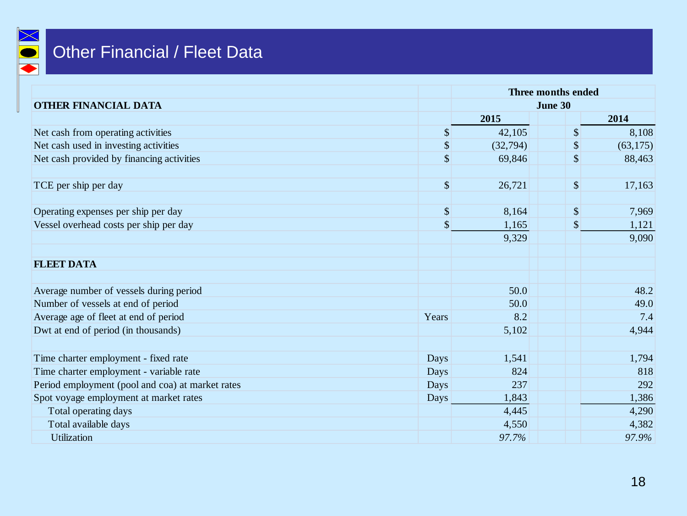

## **Other Financial / Fleet Data**

|                                                  |                           | Three months ended<br>June 30 |                           |           |  |
|--------------------------------------------------|---------------------------|-------------------------------|---------------------------|-----------|--|
| <b>OTHER FINANCIAL DATA</b>                      |                           |                               |                           |           |  |
|                                                  |                           | 2015                          |                           | 2014      |  |
| Net cash from operating activities               | $\sqrt{\ }$               | 42,105                        | $\sqrt{\ }$               | 8,108     |  |
| Net cash used in investing activities            | $\boldsymbol{\$}$         | (32, 794)                     | $\boldsymbol{\mathsf{S}}$ | (63, 175) |  |
| Net cash provided by financing activities        | $\sqrt{\ }$               | 69,846                        | \$                        | 88,463    |  |
| TCE per ship per day                             | $\sqrt{\ }$               | 26,721                        | $\boldsymbol{\mathsf{S}}$ | 17,163    |  |
| Operating expenses per ship per day              | $\sqrt{\ }$               | 8,164                         | $\boldsymbol{\mathsf{S}}$ | 7,969     |  |
| Vessel overhead costs per ship per day           | $\boldsymbol{\mathsf{S}}$ | 1,165                         | \$                        | 1,121     |  |
|                                                  |                           | 9,329                         |                           | 9,090     |  |
| <b>FLEET DATA</b>                                |                           |                               |                           |           |  |
| Average number of vessels during period          |                           | 50.0                          |                           | 48.2      |  |
| Number of vessels at end of period               |                           | 50.0                          |                           | 49.0      |  |
| Average age of fleet at end of period            | Years                     | 8.2                           |                           | 7.4       |  |
| Dwt at end of period (in thousands)              |                           | 5,102                         |                           | 4,944     |  |
| Time charter employment - fixed rate             | Days                      | 1,541                         |                           | 1,794     |  |
| Time charter employment - variable rate          | Days                      | 824                           |                           | 818       |  |
| Period employment (pool and coa) at market rates | Days                      | 237                           |                           | 292       |  |
| Spot voyage employment at market rates           | Days                      | 1,843                         |                           | 1,386     |  |
| Total operating days                             |                           | 4,445                         |                           | 4,290     |  |
| Total available days                             |                           | 4,550                         |                           | 4,382     |  |
| Utilization                                      |                           | 97.7%                         |                           | 97.9%     |  |